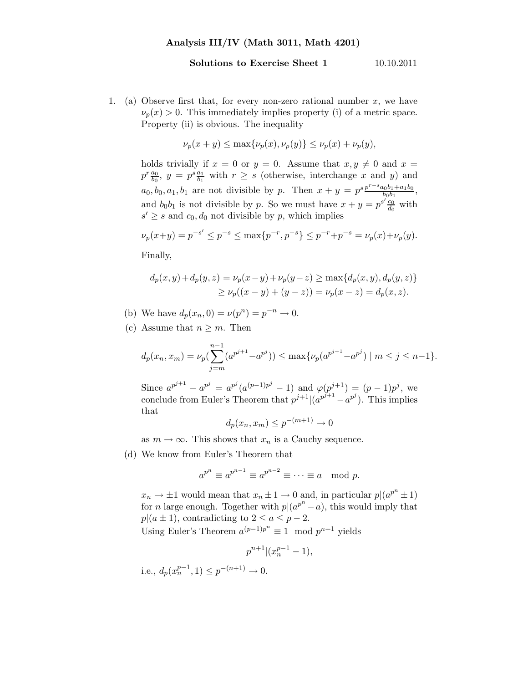## Solutions to Exercise Sheet 1 10.10.2011

1. (a) Observe first that, for every non-zero rational number  $x$ , we have  $\nu_p(x) > 0$ . This immediately implies property (i) of a metric space. Property (ii) is obvious. The inequality

$$
\nu_p(x+y) \le \max\{\nu_p(x), \nu_p(y)\} \le \nu_p(x) + \nu_p(y),
$$

holds trivially if  $x = 0$  or  $y = 0$ . Assume that  $x, y \neq 0$  and  $x =$  $p^r \frac{a_0}{b_0}$ ,  $y = p^s \frac{a_1}{b_1}$  with  $r \geq s$  (otherwise, interchange x and y) and  $a_0, b_0, a_1, b_1$  are not divisible by p. Then  $x + y = p^{s} \frac{p^{r-s} a_0 b_1 + a_1 b_0}{b_0 b_1}$  $\frac{a_0b_1+a_1b_0}{b_0b_1},$ and  $b_0b_1$  is not divisible by p. So we must have  $x + y = p^{s'} \frac{c_0}{d_0}$  $\frac{c_0}{d_0}$  with  $s' \geq s$  and  $c_0, d_0$  not divisible by p, which implies

$$
\nu_p(x+y) = p^{-s'} \le p^{-s} \le \max\{p^{-r}, p^{-s}\} \le p^{-r} + p^{-s} = \nu_p(x) + \nu_p(y).
$$

Finally,

$$
d_p(x, y) + d_p(y, z) = \nu_p(x - y) + \nu_p(y - z) \ge \max\{d_p(x, y), d_p(y, z)\}
$$
  
 
$$
\ge \nu_p((x - y) + (y - z)) = \nu_p(x - z) = d_p(x, z).
$$

- (b) We have  $d_p(x_n, 0) = \nu(p^n) = p^{-n} \to 0$ .
- (c) Assume that  $n \geq m$ . Then

$$
d_p(x_n, x_m) = \nu_p\left(\sum_{j=m}^{n-1} (a^{p^{j+1}} - a^{p^j})\right) \le \max\{\nu_p(a^{p^{j+1}} - a^{p^j}) \mid m \le j \le n-1\}.
$$

Since  $a^{p^{j+1}} - a^{p^j} = a^{p^j}(a^{(p-1)p^j} - 1)$  and  $\varphi(p^{j+1}) = (p-1)p^j$ , we conclude from Euler's Theorem that  $p^{j+1}|(a^{p^{j+1}}-a^{p^j})$ . This implies that

$$
d_p(x_n, x_m) \le p^{-(m+1)} \to 0
$$

as  $m \to \infty$ . This shows that  $x_n$  is a Cauchy sequence.

(d) We know from Euler's Theorem that

$$
a^{p^n} \equiv a^{p^{n-1}} \equiv a^{p^{n-2}} \equiv \cdots \equiv a \mod p.
$$

 $x_n \to \pm 1$  would mean that  $x_n \pm 1 \to 0$  and, in particular  $p|(a^{p^n} \pm 1)$ for *n* large enough. Together with  $p|(a^{p^n}-a)$ , this would imply that  $p|(a \pm 1)$ , contradicting to  $2 \le a \le p-2$ . Using Euler's Theorem  $a^{(p-1)p^n} \equiv 1 \mod p^{n+1}$  yields

$$
p^{n+1} | (x_n^{p-1} - 1),
$$

i.e.,  $d_p(x_n^{p-1}, 1) \leq p^{-(n+1)} \to 0$ .